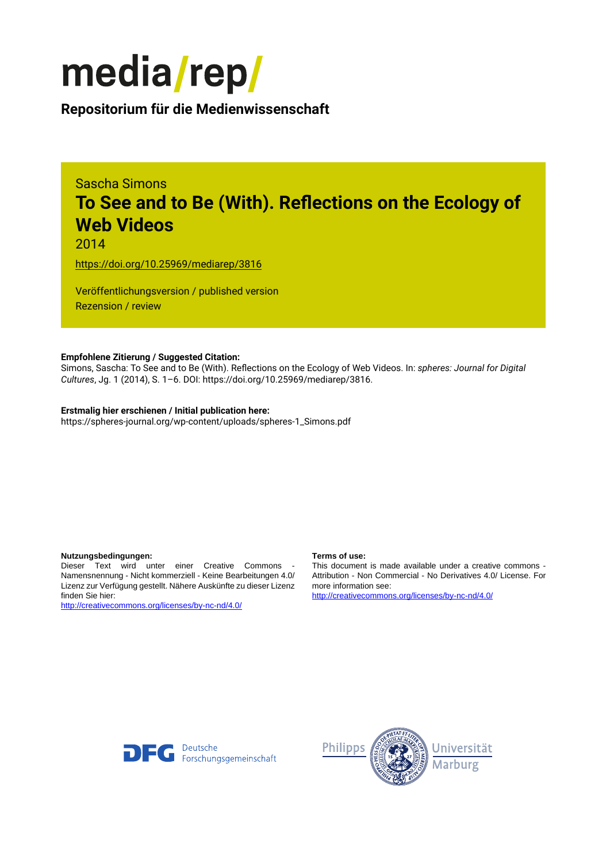

## **Repositorium für die [Medienwissenschaft](https://mediarep.org)**

# Sascha Simons **To See and to Be (With). Reflections on the Ecology of Web Videos**

2014

<https://doi.org/10.25969/mediarep/3816>

Veröffentlichungsversion / published version Rezension / review

### **Empfohlene Zitierung / Suggested Citation:**

Simons, Sascha: To See and to Be (With). Reflections on the Ecology of Web Videos. In: *spheres: Journal for Digital Cultures*, Jg. 1 (2014), S. 1–6. DOI: https://doi.org/10.25969/mediarep/3816.

#### **Erstmalig hier erschienen / Initial publication here:**

https://spheres-journal.org/wp-content/uploads/spheres-1\_Simons.pdf

#### **Nutzungsbedingungen: Terms of use:**

Dieser Text wird unter einer Creative Commons - Namensnennung - Nicht kommerziell - Keine Bearbeitungen 4.0/ Lizenz zur Verfügung gestellt. Nähere Auskünfte zu dieser Lizenz finden Sie hier:

<http://creativecommons.org/licenses/by-nc-nd/4.0/>

This document is made available under a creative commons - Attribution - Non Commercial - No Derivatives 4.0/ License. For more information see:

<http://creativecommons.org/licenses/by-nc-nd/4.0/>



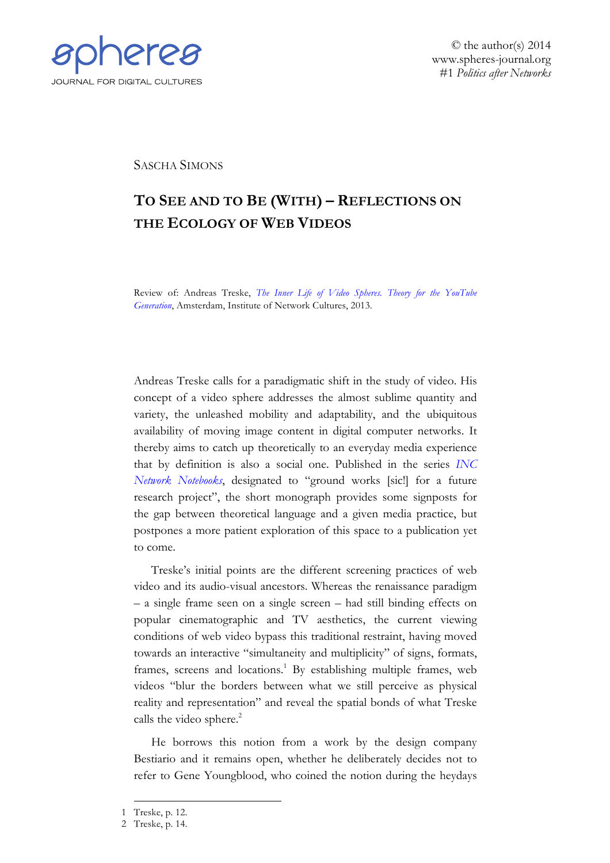

© the author(s) 2014 www.spheres-journal.org #1 *Politics after Networks*

SASCHA SIMONS

## **TO SEE AND TO BE (WITH) – REFLECTIONS ON THE ECOLOGY OF WEB VIDEOS**

Review of: Andreas Treske, *The Inner Life of Video Spheres. Theory for the YouTube Generation*[, Amsterdam, Institute of Network Cultures, 2013.](http://networkcultures.org/blog/publication/no-06-the-inner-life-of-video-spheres-andreas-treske/)

Andreas Treske calls for a paradigmatic shift in the study of video. His concept of a video sphere addresses the almost sublime quantity and variety, the unleashed mobility and adaptability, and the ubiquitous availability of moving image content in digital computer networks. It thereby aims to catch up theoretically to an everyday media experience that by definition is also a social one. Published in the series *[INC](http://networkcultures.org/publications/#netnotebook) [Network Notebooks](http://networkcultures.org/publications/#netnotebook)*, designated to "ground works [sic!] for a future research project", the short monograph provides some signposts for the gap between theoretical language and a given media practice, but postpones a more patient exploration of this space to a publication yet to come.

Treske's initial points are the different screening practices of web video and its audio-visual ancestors. Whereas the renaissance paradigm – a single frame seen on a single screen – had still binding effects on popular cinematographic and TV aesthetics, the current viewing conditions of web video bypass this traditional restraint, having moved towards an interactive "simultaneity and multiplicity" of signs, formats, frames, screens and locations.<sup>1</sup> By establishing multiple frames, web videos "blur the borders between what we still perceive as physical reality and representation" and reveal the spatial bonds of what Treske calls the video sphere.<sup>2</sup>

He borrows this notion from a work by the design company Bestiario and it remains open, whether he deliberately decides not to refer to Gene Youngblood, who coined the notion during the heydays

<sup>1</sup> Treske, p. 12.

<sup>2</sup> Treske, p. 14.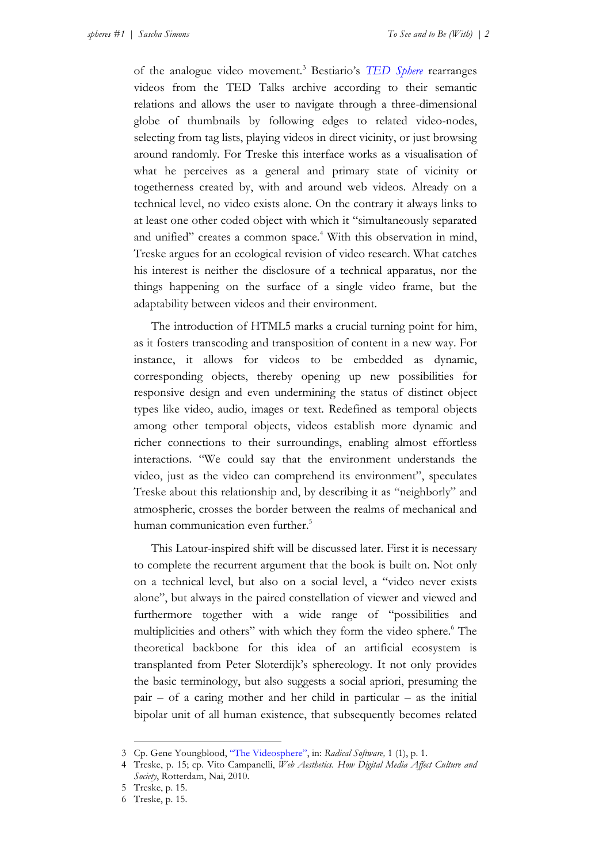of the analogue video movement*.* <sup>3</sup> Bestiario's *[TED Sphere](http://www.bestiario.org/ted-sphere-project)* rearranges videos from the TED Talks archive according to their semantic relations and allows the user to navigate through a three-dimensional globe of thumbnails by following edges to related video-nodes, selecting from tag lists, playing videos in direct vicinity, or just browsing around randomly. For Treske this interface works as a visualisation of what he perceives as a general and primary state of vicinity or togetherness created by, with and around web videos. Already on a technical level, no video exists alone. On the contrary it always links to at least one other coded object with which it "simultaneously separated and unified" creates a common space.<sup>4</sup> With this observation in mind, Treske argues for an ecological revision of video research. What catches his interest is neither the disclosure of a technical apparatus, nor the things happening on the surface of a single video frame, but the adaptability between videos and their environment.

The introduction of HTML5 marks a crucial turning point for him, as it fosters transcoding and transposition of content in a new way. For instance, it allows for videos to be embedded as dynamic, corresponding objects, thereby opening up new possibilities for responsive design and even undermining the status of distinct object types like video, audio, images or text. Redefined as temporal objects among other temporal objects, videos establish more dynamic and richer connections to their surroundings, enabling almost effortless interactions. "We could say that the environment understands the video, just as the video can comprehend its environment", speculates Treske about this relationship and, by describing it as "neighborly" and atmospheric, crosses the border between the realms of mechanical and human communication even further.<sup>5</sup>

This Latour-inspired shift will be discussed later. First it is necessary to complete the recurrent argument that the book is built on. Not only on a technical level, but also on a social level, a "video never exists alone", but always in the paired constellation of viewer and viewed and furthermore together with a wide range of "possibilities and multiplicities and others" with which they form the video sphere.<sup>6</sup> The theoretical backbone for this idea of an artificial ecosystem is transplanted from Peter Sloterdijk's sphereology. It not only provides the basic terminology, but also suggests a social apriori, presuming the pair – of a caring mother and her child in particular – as the initial bipolar unit of all human existence, that subsequently becomes related

<sup>3</sup> Cp. Gene Youngblood, "The [Videosphere"](http://www.radicalsoftware.org/volume1nr1/pdf/VOLUME1NR1_0003.pdf), in: *Radical Software,* 1 (1), p. 1.

<sup>4</sup> Treske, p. 15; cp. Vito Campanelli, *Web Aesthetics. How Digital Media Affect Culture and Society*, Rotterdam, Nai, 2010.

<sup>5</sup> Treske, p. 15.

<sup>6</sup> Treske, p. 15.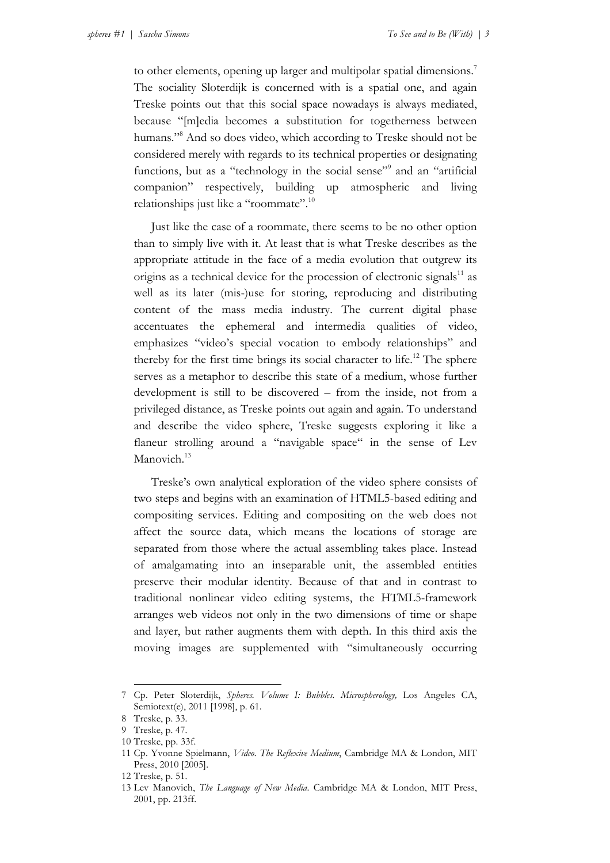to other elements, opening up larger and multipolar spatial dimensions.<sup>7</sup> The sociality Sloterdijk is concerned with is a spatial one, and again Treske points out that this social space nowadays is always mediated, because "[m]edia becomes a substitution for togetherness between humans."<sup>8</sup> And so does video, which according to Treske should not be considered merely with regards to its technical properties or designating functions, but as a "technology in the social sense"<sup>9</sup> and an "artificial companion" respectively, building up atmospheric and living relationships just like a "roommate". 10

Just like the case of a roommate, there seems to be no other option than to simply live with it. At least that is what Treske describes as the appropriate attitude in the face of a media evolution that outgrew its origins as a technical device for the procession of electronic signals<sup>11</sup> as well as its later (mis-)use for storing, reproducing and distributing content of the mass media industry. The current digital phase accentuates the ephemeral and intermedia qualities of video, emphasizes "video's special vocation to embody relationships" and thereby for the first time brings its social character to life.<sup>12</sup> The sphere serves as a metaphor to describe this state of a medium, whose further development is still to be discovered – from the inside, not from a privileged distance, as Treske points out again and again. To understand and describe the video sphere, Treske suggests exploring it like a flaneur strolling around a "navigable space" in the sense of Lev Manovich.<sup>13</sup>

Treske's own analytical exploration of the video sphere consists of two steps and begins with an examination of HTML5-based editing and compositing services. Editing and compositing on the web does not affect the source data, which means the locations of storage are separated from those where the actual assembling takes place. Instead of amalgamating into an inseparable unit, the assembled entities preserve their modular identity. Because of that and in contrast to traditional nonlinear video editing systems, the HTML5-framework arranges web videos not only in the two dimensions of time or shape and layer, but rather augments them with depth. In this third axis the moving images are supplemented with "simultaneously occurring

<sup>7</sup> Cp. Peter Sloterdijk, *Spheres. Volume I: Bubbles. Microspherology,* Los Angeles CA, Semiotext(e), 2011 [1998], p. 61.

<sup>8</sup> Treske, p. 33.

<sup>9</sup> Treske, p. 47.

<sup>10</sup> Treske, pp. 33f.

<sup>11</sup> Cp. Yvonne Spielmann, *Video. The Reflexive Medium*, Cambridge MA & London, MIT Press, 2010 [2005].

<sup>12</sup> Treske, p. 51.

<sup>13</sup> Lev Manovich, *The Language of New Media*. Cambridge MA & London, MIT Press, 2001, pp. 213ff.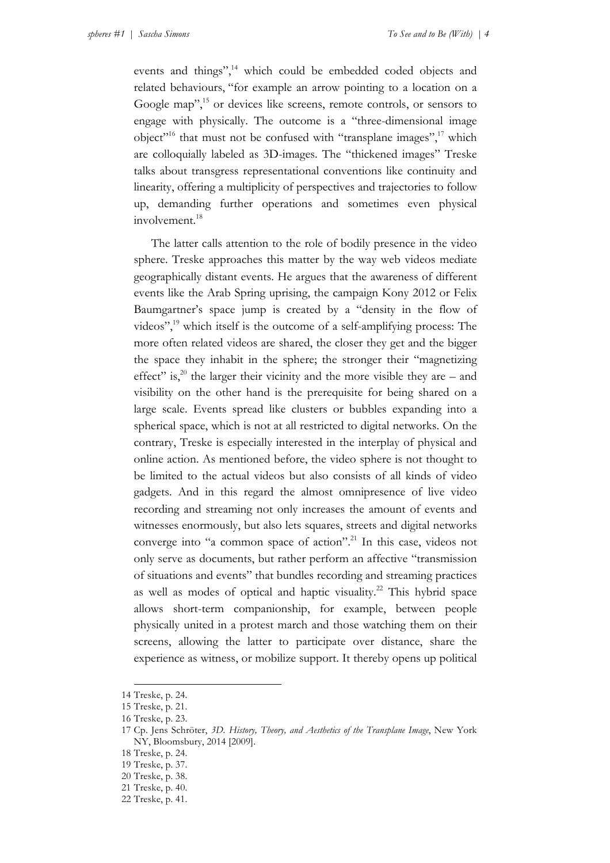events and things",<sup>14</sup> which could be embedded coded objects and related behaviours, "for example an arrow pointing to a location on a Google map", <sup>15</sup> or devices like screens, remote controls, or sensors to engage with physically. The outcome is a "three-dimensional image object"<sup>16</sup> that must not be confused with "transplane images", $^{17}$  which are colloquially labeled as 3D-images. The "thickened images" Treske talks about transgress representational conventions like continuity and linearity, offering a multiplicity of perspectives and trajectories to follow up, demanding further operations and sometimes even physical involvement.<sup>18</sup>

The latter calls attention to the role of bodily presence in the video sphere. Treske approaches this matter by the way web videos mediate geographically distant events. He argues that the awareness of different events like the Arab Spring uprising, the campaign Kony 2012 or Felix Baumgartner's space jump is created by a "density in the flow of videos", <sup>19</sup> which itself is the outcome of a self-amplifying process: The more often related videos are shared, the closer they get and the bigger the space they inhabit in the sphere; the stronger their "magnetizing effect" is,<sup>20</sup> the larger their vicinity and the more visible they are – and visibility on the other hand is the prerequisite for being shared on a large scale. Events spread like clusters or bubbles expanding into a spherical space, which is not at all restricted to digital networks. On the contrary, Treske is especially interested in the interplay of physical and online action. As mentioned before, the video sphere is not thought to be limited to the actual videos but also consists of all kinds of video gadgets. And in this regard the almost omnipresence of live video recording and streaming not only increases the amount of events and witnesses enormously, but also lets squares, streets and digital networks converge into "a common space of action". <sup>21</sup> In this case, videos not only serve as documents, but rather perform an affective "transmission of situations and events" that bundles recording and streaming practices as well as modes of optical and haptic visuality.<sup>22</sup> This hybrid space allows short-term companionship, for example, between people physically united in a protest march and those watching them on their screens, allowing the latter to participate over distance, share the experience as witness, or mobilize support. It thereby opens up political

<sup>14</sup> Treske, p. 24.

<sup>15</sup> Treske, p. 21.

<sup>16</sup> Treske, p. 23.

<sup>17</sup> Cp. Jens Schröter, *3D. History, Theory, and Aesthetics of the Transplane Image*, New York NY, Bloomsbury, 2014 [2009].

<sup>18</sup> Treske, p. 24.

<sup>19</sup> Treske, p. 37.

<sup>20</sup> Treske, p. 38.

<sup>21</sup> Treske, p. 40.

<sup>22</sup> Treske, p. 41.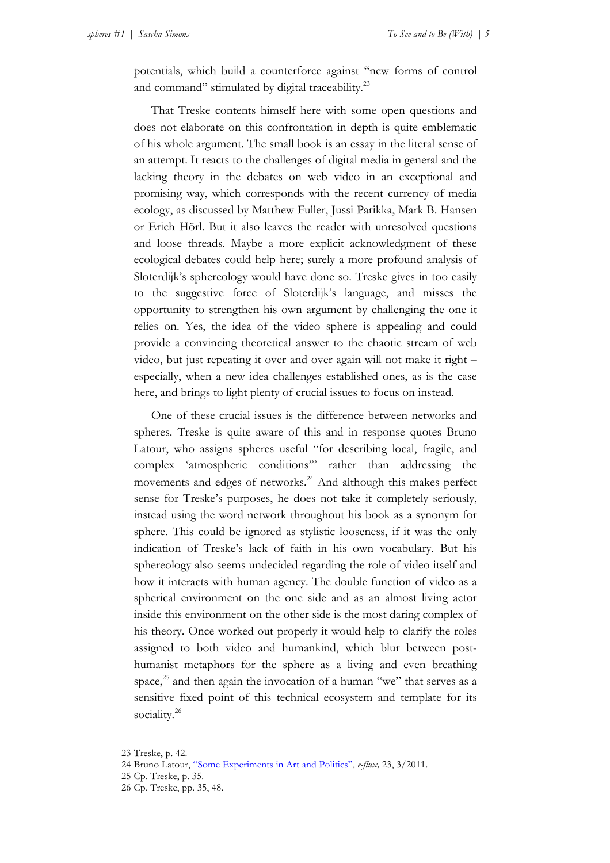potentials, which build a counterforce against "new forms of control and command" stimulated by digital traceability.<sup>23</sup>

That Treske contents himself here with some open questions and does not elaborate on this confrontation in depth is quite emblematic of his whole argument. The small book is an essay in the literal sense of an attempt. It reacts to the challenges of digital media in general and the lacking theory in the debates on web video in an exceptional and promising way, which corresponds with the recent currency of media ecology, as discussed by Matthew Fuller, Jussi Parikka, Mark B. Hansen or Erich Hörl. But it also leaves the reader with unresolved questions and loose threads. Maybe a more explicit acknowledgment of these ecological debates could help here; surely a more profound analysis of Sloterdijk's sphereology would have done so. Treske gives in too easily to the suggestive force of Sloterdijk's language, and misses the opportunity to strengthen his own argument by challenging the one it relies on. Yes, the idea of the video sphere is appealing and could provide a convincing theoretical answer to the chaotic stream of web video, but just repeating it over and over again will not make it right – especially, when a new idea challenges established ones, as is the case here, and brings to light plenty of crucial issues to focus on instead.

One of these crucial issues is the difference between networks and spheres. Treske is quite aware of this and in response quotes Bruno Latour, who assigns spheres useful "for describing local, fragile, and complex 'atmospheric conditions'" rather than addressing the movements and edges of networks.<sup>24</sup> And although this makes perfect sense for Treske's purposes, he does not take it completely seriously, instead using the word network throughout his book as a synonym for sphere. This could be ignored as stylistic looseness, if it was the only indication of Treske's lack of faith in his own vocabulary. But his sphereology also seems undecided regarding the role of video itself and how it interacts with human agency. The double function of video as a spherical environment on the one side and as an almost living actor inside this environment on the other side is the most daring complex of his theory. Once worked out properly it would help to clarify the roles assigned to both video and humankind, which blur between posthumanist metaphors for the sphere as a living and even breathing space,<sup>25</sup> and then again the invocation of a human "we" that serves as a sensitive fixed point of this technical ecosystem and template for its sociality.<sup>26</sup>

<sup>23</sup> Treske, p. 42.

<sup>24</sup> Bruno Latour, ["Some Experiments in Art and Politics"](http://www.e-flux.com/journal/some-experiments-in-art-and-politics/), *e-flux,* 23, 3/2011.

<sup>25</sup> Cp. Treske, p. 35.

<sup>26</sup> Cp. Treske, pp. 35, 48.